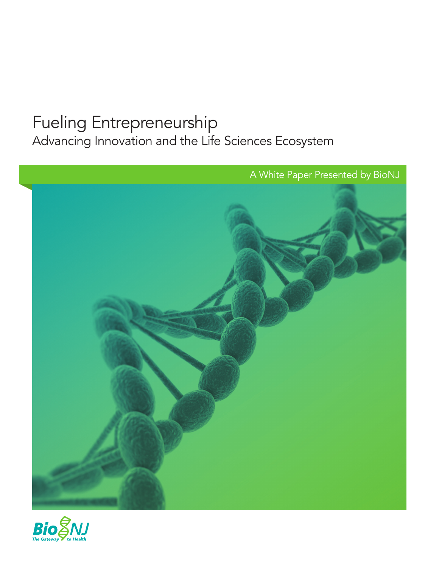# Fueling Entrepreneurship

Advancing Innovation and the Life Sciences Ecosystem



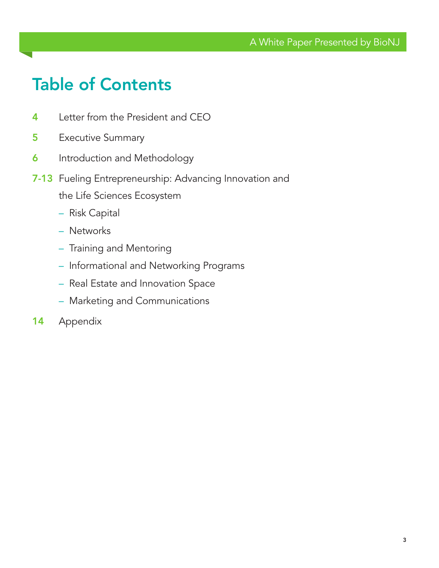# Table of Contents

- 4 Letter from the President and CEO
- **5** Executive Summary
- **6** Introduction and Methodology
- 7-13 Fueling Entrepreneurship: Advancing Innovation and the Life Sciences Ecosystem
	- Risk Capital
	- Networks
	- Training and Mentoring
	- Informational and Networking Programs
	- Real Estate and Innovation Space
	- Marketing and Communications
- 14 Appendix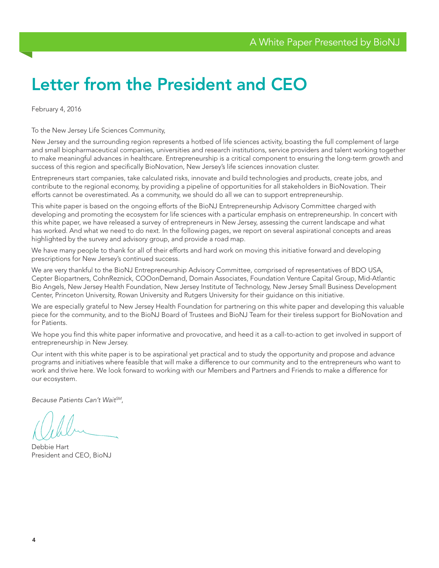# Letter from the President and CEO

February 4, 2016

To the New Jersey Life Sciences Community,

New Jersey and the surrounding region represents a hotbed of life sciences activity, boasting the full complement of large and small biopharmaceutical companies, universities and research institutions, service providers and talent working together to make meaningful advances in healthcare. Entrepreneurship is a critical component to ensuring the long-term growth and success of this region and specifically BioNovation, New Jersey's life sciences innovation cluster.

Entrepreneurs start companies, take calculated risks, innovate and build technologies and products, create jobs, and contribute to the regional economy, by providing a pipeline of opportunities for all stakeholders in BioNovation. Their efforts cannot be overestimated. As a community, we should do all we can to support entrepreneurship.

This white paper is based on the ongoing efforts of the BioNJ Entrepreneurship Advisory Committee charged with developing and promoting the ecosystem for life sciences with a particular emphasis on entrepreneurship. In concert with this white paper, we have released a survey of entrepreneurs in New Jersey, assessing the current landscape and what has worked. And what we need to do next. In the following pages, we report on several aspirational concepts and areas highlighted by the survey and advisory group, and provide a road map.

We have many people to thank for all of their efforts and hard work on moving this initiative forward and developing prescriptions for New Jersey's continued success.

We are very thankful to the BioNJ Entrepreneurship Advisory Committee, comprised of representatives of BDO USA, Cepter Biopartners, CohnReznick, COOonDemand, Domain Associates, Foundation Venture Capital Group, Mid-Atlantic Bio Angels, New Jersey Health Foundation, New Jersey Institute of Technology, New Jersey Small Business Development Center, Princeton University, Rowan University and Rutgers University for their guidance on this initiative.

We are especially grateful to New Jersey Health Foundation for partnering on this white paper and developing this valuable piece for the community, and to the BioNJ Board of Trustees and BioNJ Team for their tireless support for BioNovation and for Patients.

We hope you find this white paper informative and provocative, and heed it as a call-to-action to get involved in support of entrepreneurship in New Jersey.

Our intent with this white paper is to be aspirational yet practical and to study the opportunity and propose and advance programs and initiatives where feasible that will make a difference to our community and to the entrepreneurs who want to work and thrive here. We look forward to working with our Members and Partners and Friends to make a difference for our ecosystem.

*Because Patients Can't WaitSM*,

Debbie Hart President and CEO, BioNJ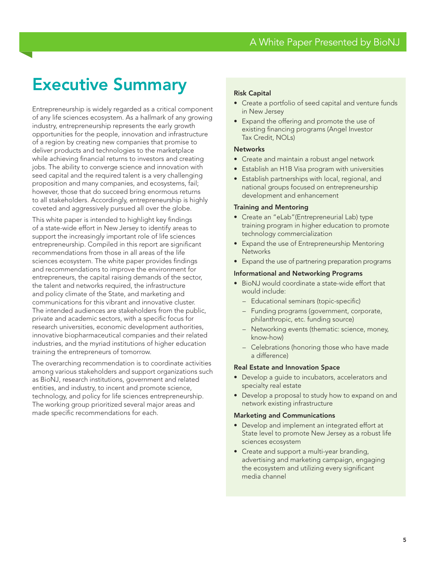# Executive Summary

Entrepreneurship is widely regarded as a critical component of any life sciences ecosystem. As a hallmark of any growing industry, entrepreneurship represents the early growth opportunities for the people, innovation and infrastructure of a region by creating new companies that promise to deliver products and technologies to the marketplace while achieving financial returns to investors and creating jobs. The ability to converge science and innovation with seed capital and the required talent is a very challenging proposition and many companies, and ecosystems, fail; however, those that do succeed bring enormous returns to all stakeholders. Accordingly, entrepreneurship is highly coveted and aggressively pursued all over the globe.

This white paper is intended to highlight key findings of a state-wide effort in New Jersey to identify areas to support the increasingly important role of life sciences entrepreneurship. Compiled in this report are significant recommendations from those in all areas of the life sciences ecosystem. The white paper provides findings and recommendations to improve the environment for entrepreneurs, the capital raising demands of the sector, the talent and networks required, the infrastructure and policy climate of the State, and marketing and communications for this vibrant and innovative cluster. The intended audiences are stakeholders from the public, private and academic sectors, with a specific focus for research universities, economic development authorities, innovative biopharmaceutical companies and their related industries, and the myriad institutions of higher education training the entrepreneurs of tomorrow.

The overarching recommendation is to coordinate activities among various stakeholders and support organizations such as BioNJ, research institutions, government and related entities, and industry, to incent and promote science, technology, and policy for life sciences entrepreneurship. The working group prioritized several major areas and made specific recommendations for each.

#### Risk Capital

- Create a portfolio of seed capital and venture funds in New Jersey
- Expand the offering and promote the use of existing financing programs (Angel Investor Tax Credit, NOLs)

#### **Networks**

- Create and maintain a robust angel network
- Establish an H1B Visa program with universities
- Establish partnerships with local, regional, and national groups focused on entrepreneurship development and enhancement

#### Training and Mentoring

- Create an "eLab"(Entrepreneurial Lab) type training program in higher education to promote technology commercialization
- Expand the use of Entrepreneurship Mentoring **Networks**
- Expand the use of partnering preparation programs

#### Informational and Networking Programs

- BioNJ would coordinate a state-wide effort that would include:
	- Educational seminars (topic-specific)
	- Funding programs (government, corporate, philanthropic, etc. funding source)
	- Networking events (thematic: science, money, know-how)
	- Celebrations (honoring those who have made a difference)

#### Real Estate and Innovation Space

- Develop a guide to incubators, accelerators and specialty real estate
- Develop a proposal to study how to expand on and network existing infrastructure

#### Marketing and Communications

- Develop and implement an integrated effort at State level to promote New Jersey as a robust life sciences ecosystem
- Create and support a multi-year branding, advertising and marketing campaign, engaging the ecosystem and utilizing every significant media channel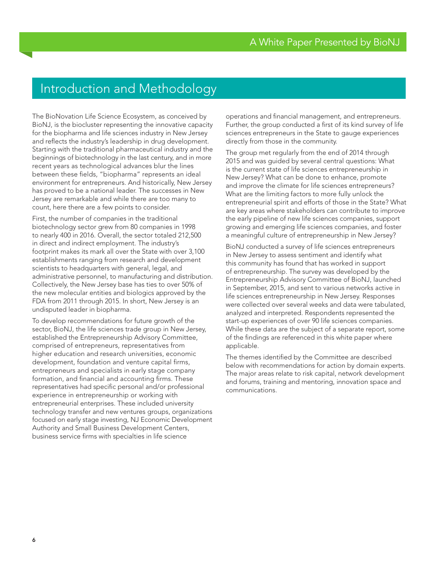## Introduction and Methodology

The BioNovation Life Science Ecosystem, as conceived by BioNJ, is the biocluster representing the innovative capacity for the biopharma and life sciences industry in New Jersey and reflects the industry's leadership in drug development. Starting with the traditional pharmaceutical industry and the beginnings of biotechnology in the last century, and in more recent years as technological advances blur the lines between these fields, "biopharma" represents an ideal environment for entrepreneurs. And historically, New Jersey has proved to be a national leader. The successes in New Jersey are remarkable and while there are too many to count, here there are a few points to consider.

First, the number of companies in the traditional biotechnology sector grew from 80 companies in 1998 to nearly 400 in 2016. Overall, the sector totaled 212,500 in direct and indirect employment. The industry's footprint makes its mark all over the State with over 3,100 establishments ranging from research and development scientists to headquarters with general, legal, and administrative personnel, to manufacturing and distribution. Collectively, the New Jersey base has ties to over 50% of the new molecular entities and biologics approved by the FDA from 2011 through 2015. In short, New Jersey is an undisputed leader in biopharma.

To develop recommendations for future growth of the sector, BioNJ, the life sciences trade group in New Jersey, established the Entrepreneurship Advisory Committee, comprised of entrepreneurs, representatives from higher education and research universities, economic development, foundation and venture capital firms, entrepreneurs and specialists in early stage company formation, and financial and accounting firms. These representatives had specific personal and/or professional experience in entrepreneurship or working with entrepreneurial enterprises. These included university technology transfer and new ventures groups, organizations focused on early stage investing, NJ Economic Development Authority and Small Business Development Centers, business service firms with specialties in life science

operations and financial management, and entrepreneurs. Further, the group conducted a first of its kind survey of life sciences entrepreneurs in the State to gauge experiences directly from those in the community.

The group met regularly from the end of 2014 through 2015 and was guided by several central questions: What is the current state of life sciences entrepreneurship in New Jersey? What can be done to enhance, promote and improve the climate for life sciences entrepreneurs? What are the limiting factors to more fully unlock the entrepreneurial spirit and efforts of those in the State? What are key areas where stakeholders can contribute to improve the early pipeline of new life sciences companies, support growing and emerging life sciences companies, and foster a meaningful culture of entrepreneurship in New Jersey?

BioNJ conducted a survey of life sciences entrepreneurs in New Jersey to assess sentiment and identify what this community has found that has worked in support of entrepreneurship. The survey was developed by the Entrepreneurship Advisory Committee of BioNJ, launched in September, 2015, and sent to various networks active in life sciences entrepreneurship in New Jersey. Responses were collected over several weeks and data were tabulated, analyzed and interpreted. Respondents represented the start-up experiences of over 90 life sciences companies. While these data are the subject of a separate report, some of the findings are referenced in this white paper where applicable.

The themes identified by the Committee are described below with recommendations for action by domain experts. The major areas relate to risk capital, network development and forums, training and mentoring, innovation space and communications.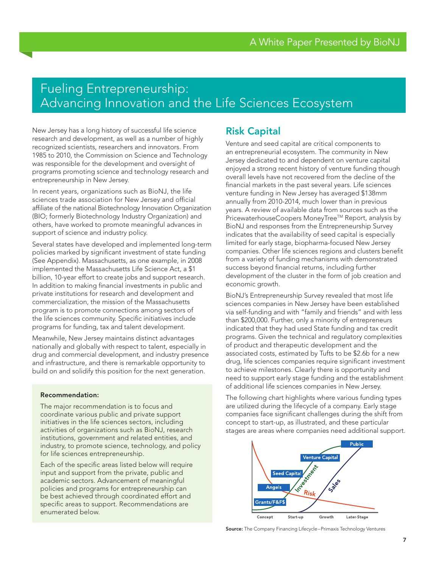## Fueling Entrepreneurship: Advancing Innovation and the Life Sciences Ecosystem

New Jersey has a long history of successful life science research and development, as well as a number of highly recognized scientists, researchers and innovators. From 1985 to 2010, the Commission on Science and Technology was responsible for the development and oversight of programs promoting science and technology research and entrepreneurship in New Jersey.

In recent years, organizations such as BioNJ, the life sciences trade association for New Jersey and official affiliate of the national Biotechnology Innovation Organization (BIO; formerly Biotechnology Industry Organization) and others, have worked to promote meaningful advances in support of science and industry policy.

Several states have developed and implemented long-term policies marked by significant investment of state funding (See Appendix). Massachusetts, as one example, in 2008 implemented the Massachusetts Life Science Act, a \$1 billion, 10-year effort to create jobs and support research. In addition to making financial investments in public and private institutions for research and development and commercialization, the mission of the Massachusetts program is to promote connections among sectors of the life sciences community. Specific initiatives include programs for funding, tax and talent development.

Meanwhile, New Jersey maintains distinct advantages nationally and globally with respect to talent, especially in drug and commercial development, and industry presence and infrastructure, and there is remarkable opportunity to build on and solidify this position for the next generation.

#### Recommendation:

The major recommendation is to focus and coordinate various public and private support initiatives in the life sciences sectors, including activities of organizations such as BioNJ, research institutions, government and related entities, and industry, to promote science, technology, and policy for life sciences entrepreneurship.

Each of the specific areas listed below will require input and support from the private, public and academic sectors. Advancement of meaningful policies and programs for entrepreneurship can be best achieved through coordinated effort and specific areas to support. Recommendations are enumerated below.

## Risk Capital

Venture and seed capital are critical components to an entrepreneurial ecosystem. The community in New Jersey dedicated to and dependent on venture capital enjoyed a strong recent history of venture funding though overall levels have not recovered from the decline of the financial markets in the past several years. Life sciences venture funding in New Jersey has averaged \$138mm annually from 2010-2014, much lower than in previous years. A review of available data from sources such as the PricewaterhouseCoopers MoneyTree™ Report, analysis by BioNJ and responses from the Entrepreneurship Survey indicates that the availability of seed capital is especially limited for early stage, biopharma-focused New Jersey companies. Other life sciences regions and clusters benefit from a variety of funding mechanisms with demonstrated success beyond financial returns, including further development of the cluster in the form of job creation and economic growth.

BioNJ's Entrepreneurship Survey revealed that most life sciences companies in New Jersey have been established via self-funding and with "family and friends" and with less than \$200,000. Further, only a minority of entrepreneurs indicated that they had used State funding and tax credit programs. Given the technical and regulatory complexities of product and therapeutic development and the associated costs, estimated by Tufts to be \$2.6b for a new drug, life sciences companies require significant investment to achieve milestones. Clearly there is opportunity and need to support early stage funding and the establishment of additional life sciences companies in New Jersey.

The following chart highlights where various funding types are utilized during the lifecycle of a company. Early stage companies face significant challenges during the shift from concept to start-up, as illustrated, and these particular stages are areas where companies need additional support.



Source: The Company Financing Lifecycle–Primaxis Technology Ventures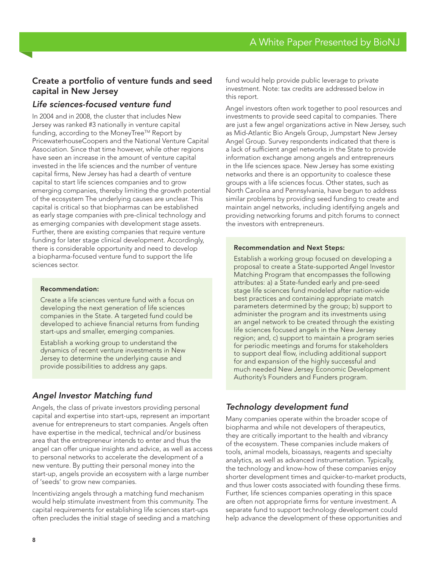## Create a portfolio of venture funds and seed capital in New Jersey

## *Life sciences-focused venture fund*

In 2004 and in 2008, the cluster that includes New Jersey was ranked #3 nationally in venture capital funding, according to the MoneyTree™ Report by PricewaterhouseCoopers and the National Venture Capital Association. Since that time however, while other regions have seen an increase in the amount of venture capital invested in the life sciences and the number of venture capital firms, New Jersey has had a dearth of venture capital to start life sciences companies and to grow emerging companies, thereby limiting the growth potential of the ecosystem The underlying causes are unclear. This capital is critical so that biopharmas can be established as early stage companies with pre-clinical technology and as emerging companies with development stage assets. Further, there are existing companies that require venture funding for later stage clinical development. Accordingly, there is considerable opportunity and need to develop a biopharma-focused venture fund to support the life sciences sector.

#### Recommendation:

Create a life sciences venture fund with a focus on developing the next generation of life sciences companies in the State. A targeted fund could be developed to achieve financial returns from funding start-ups and smaller, emerging companies.

Establish a working group to understand the dynamics of recent venture investments in New Jersey to determine the underlying cause and provide possibilities to address any gaps.

## *Angel Investor Matching fund*

Angels, the class of private investors providing personal capital and expertise into start-ups, represent an important avenue for entrepreneurs to start companies. Angels often have expertise in the medical, technical and/or business area that the entrepreneur intends to enter and thus the angel can offer unique insights and advice, as well as access to personal networks to accelerate the development of a new venture. By putting their personal money into the start-up, angels provide an ecosystem with a large number of 'seeds' to grow new companies.

Incentivizing angels through a matching fund mechanism would help stimulate investment from this community. The capital requirements for establishing life sciences start-ups often precludes the initial stage of seeding and a matching fund would help provide public leverage to private investment. Note: tax credits are addressed below in this report.

Angel investors often work together to pool resources and investments to provide seed capital to companies. There are just a few angel organizations active in New Jersey, such as Mid-Atlantic Bio Angels Group, Jumpstart New Jersey Angel Group. Survey respondents indicated that there is a lack of sufficient angel networks in the State to provide information exchange among angels and entrepreneurs in the life sciences space. New Jersey has some existing networks and there is an opportunity to coalesce these groups with a life sciences focus. Other states, such as North Carolina and Pennsylvania, have begun to address similar problems by providing seed funding to create and maintain angel networks, including identifying angels and providing networking forums and pitch forums to connect the investors with entrepreneurs.

#### Recommendation and Next Steps:

Establish a working group focused on developing a proposal to create a State-supported Angel Investor Matching Program that encompasses the following attributes: a) a State-funded early and pre-seed stage life sciences fund modeled after nation-wide best practices and containing appropriate match parameters determined by the group; b) support to administer the program and its investments using an angel network to be created through the existing life sciences focused angels in the New Jersey region; and, c) support to maintain a program series for periodic meetings and forums for stakeholders to support deal flow, including additional support for and expansion of the highly successful and much needed New Jersey Economic Development Authority's Founders and Funders program.

## *Technology development fund*

Many companies operate within the broader scope of biopharma and while not developers of therapeutics, they are critically important to the health and vibrancy of the ecosystem. These companies include makers of tools, animal models, bioassays, reagents and specialty analytics, as well as advanced instrumentation. Typically, the technology and know-how of these companies enjoy shorter development times and quicker-to-market products, and thus lower costs associated with founding these firms. Further, life sciences companies operating in this space are often not appropriate firms for venture investment. A separate fund to support technology development could help advance the development of these opportunities and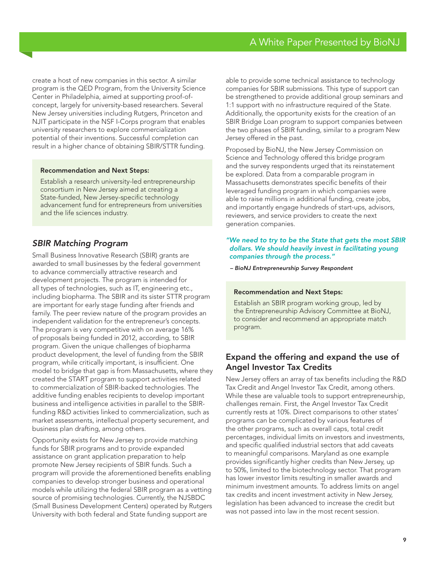create a host of new companies in this sector. A similar program is the QED Program, from the University Science Center in Philadelphia, aimed at supporting proof-ofconcept, largely for university-based researchers. Several New Jersey universities including Rutgers, Princeton and NJIT participate in the NSF I-Corps program that enables university researchers to explore commercialization potential of their inventions. Successful completion can result in a higher chance of obtaining SBIR/STTR funding.

#### Recommendation and Next Steps:

Establish a research university-led entrepreneurship consortium in New Jersey aimed at creating a State-funded, New Jersey-specific technology advancement fund for entrepreneurs from universities and the life sciences industry.

### *SBIR Matching Program*

Small Business Innovative Research (SBIR) grants are awarded to small businesses by the federal government to advance commercially attractive research and development projects. The program is intended for all types of technologies, such as IT, engineering etc., including biopharma. The SBIR and its sister STTR program are important for early stage funding after friends and family. The peer review nature of the program provides an independent validation for the entrepreneur's concepts. The program is very competitive with on average 16% of proposals being funded in 2012, according, to SBIR program. Given the unique challenges of biopharma product development, the level of funding from the SBIR program, while critically important, is insufficient. One model to bridge that gap is from Massachusetts, where they created the START program to support activities related to commercialization of SBIR-backed technologies. The additive funding enables recipients to develop important business and intelligence activities in parallel to the SBIRfunding R&D activities linked to commercialization, such as market assessments, intellectual property securement, and business plan drafting, among others.

Opportunity exists for New Jersey to provide matching funds for SBIR programs and to provide expanded assistance on grant application preparation to help promote New Jersey recipients of SBIR funds. Such a program will provide the aforementioned benefits enabling companies to develop stronger business and operational models while utilizing the federal SBIR program as a vetting source of promising technologies. Currently, the NJSBDC (Small Business Development Centers) operated by Rutgers University with both federal and State funding support are

able to provide some technical assistance to technology companies for SBIR submissions. This type of support can be strengthened to provide additional group seminars and 1:1 support with no infrastructure required of the State. Additionally, the opportunity exists for the creation of an SBIR Bridge Loan program to support companies between the two phases of SBIR funding, similar to a program New Jersey offered in the past.

Proposed by BioNJ, the New Jersey Commission on Science and Technology offered this bridge program and the survey respondents urged that its reinstatement be explored. Data from a comparable program in Massachusetts demonstrates specific benefits of their leveraged funding program in which companies were able to raise millions in additional funding, create jobs, and importantly engage hundreds of start-ups, advisors, reviewers, and service providers to create the next generation companies.

#### *"We need to try to be the State that gets the most SBIR dollars. We should heavily invest in facilitating young companies through the process."*

*– BioNJ Entrepreneurship Survey Respondent*

#### Recommendation and Next Steps:

Establish an SBIR program working group, led by the Entrepreneurship Advisory Committee at BioNJ, to consider and recommend an appropriate match program.

## Expand the offering and expand the use of Angel Investor Tax Credits

New Jersey offers an array of tax benefits including the R&D Tax Credit and Angel Investor Tax Credit, among others. While these are valuable tools to support entrepreneurship, challenges remain. First, the Angel Investor Tax Credit currently rests at 10%. Direct comparisons to other states' programs can be complicated by various features of the other programs, such as overall caps, total credit percentages, individual limits on investors and investments, and specific qualified industrial sectors that add caveats to meaningful comparisons. Maryland as one example provides significantly higher credits than New Jersey, up to 50%, limited to the biotechnology sector. That program has lower investor limits resulting in smaller awards and minimum investment amounts. To address limits on angel tax credits and incent investment activity in New Jersey, legislation has been advanced to increase the credit but was not passed into law in the most recent session.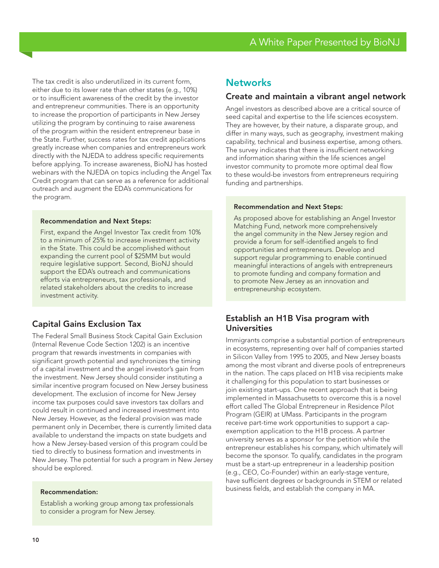The tax credit is also underutilized in its current form, either due to its lower rate than other states (e.g., 10%) or to insufficient awareness of the credit by the investor and entrepreneur communities. There is an opportunity to increase the proportion of participants in New Jersey utilizing the program by continuing to raise awareness of the program within the resident entrepreneur base in the State. Further, success rates for tax credit applications greatly increase when companies and entrepreneurs work directly with the NJEDA to address specific requirements before applying. To increase awareness, BioNJ has hosted webinars with the NJEDA on topics including the Angel Tax Credit program that can serve as a reference for additional outreach and augment the EDA's communications for the program.

#### Recommendation and Next Steps:

First, expand the Angel Investor Tax credit from 10% to a minimum of 25% to increase investment activity in the State. This could be accomplished without expanding the current pool of \$25MM but would require legislative support. Second, BioNJ should support the EDA's outreach and communications efforts via entrepreneurs, tax professionals, and related stakeholders about the credits to increase investment activity.

## Capital Gains Exclusion Tax

The Federal Small Business Stock Capital Gain Exclusion (Internal Revenue Code Section 1202) is an incentive program that rewards investments in companies with significant growth potential and synchronizes the timing of a capital investment and the angel investor's gain from the investment. New Jersey should consider instituting a similar incentive program focused on New Jersey business development. The exclusion of income for New Jersey income tax purposes could save investors tax dollars and could result in continued and increased investment into New Jersey. However, as the federal provision was made permanent only in December, there is currently limited data available to understand the impacts on state budgets and how a New Jersey-based version of this program could be tied to directly to business formation and investments in New Jersey. The potential for such a program in New Jersey should be explored.

#### Recommendation:

Establish a working group among tax professionals to consider a program for New Jersey.

## **Networks**

#### Create and maintain a vibrant angel network

Angel investors as described above are a critical source of seed capital and expertise to the life sciences ecosystem. They are however, by their nature, a disparate group, and differ in many ways, such as geography, investment making capability, technical and business expertise, among others. The survey indicates that there is insufficient networking and information sharing within the life sciences angel investor community to promote more optimal deal flow to these would-be investors from entrepreneurs requiring funding and partnerships.

#### Recommendation and Next Steps:

As proposed above for establishing an Angel Investor Matching Fund, network more comprehensively the angel community in the New Jersey region and provide a forum for self-identified angels to find opportunities and entrepreneurs. Develop and support regular programming to enable continued meaningful interactions of angels with entrepreneurs to promote funding and company formation and to promote New Jersey as an innovation and entrepreneurship ecosystem.

### Establish an H1B Visa program with Universities

Immigrants comprise a substantial portion of entrepreneurs in ecosystems, representing over half of companies started in Silicon Valley from 1995 to 2005, and New Jersey boasts among the most vibrant and diverse pools of entrepreneurs in the nation. The caps placed on H1B visa recipients make it challenging for this population to start businesses or join existing start-ups. One recent approach that is being implemented in Massachusetts to overcome this is a novel effort called The Global Entrepreneur in Residence Pilot Program (GEIR) at UMass. Participants in the program receive part-time work opportunities to support a capexemption application to the H1B process. A partner university serves as a sponsor for the petition while the entrepreneur establishes his company, which ultimately will become the sponsor. To qualify, candidates in the program must be a start-up entrepreneur in a leadership position (e.g., CEO, Co-Founder) within an early-stage venture, have sufficient degrees or backgrounds in STEM or related business fields, and establish the company in MA.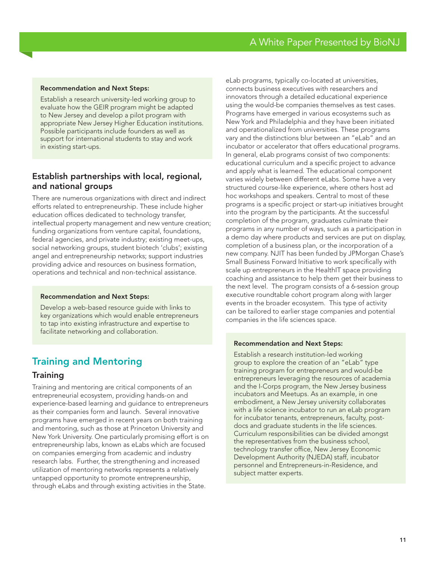#### Recommendation and Next Steps:

Establish a research university-led working group to evaluate how the GEIR program might be adapted to New Jersey and develop a pilot program with appropriate New Jersey Higher Education institutions. Possible participants include founders as well as support for international students to stay and work in existing start-ups.

## Establish partnerships with local, regional, and national groups

There are numerous organizations with direct and indirect efforts related to entrepreneurship. These include higher education offices dedicated to technology transfer, intellectual property management and new venture creation; funding organizations from venture capital, foundations, federal agencies, and private industry; existing meet-ups, social networking groups, student biotech 'clubs'; existing angel and entrepreneurship networks; support industries providing advice and resources on business formation, operations and technical and non-technical assistance.

#### Recommendation and Next Steps:

Develop a web-based resource guide with links to key organizations which would enable entrepreneurs to tap into existing infrastructure and expertise to facilitate networking and collaboration.

## Training and Mentoring

### **Training**

Training and mentoring are critical components of an entrepreneurial ecosystem, providing hands-on and experience-based learning and guidance to entrepreneurs as their companies form and launch. Several innovative programs have emerged in recent years on both training and mentoring, such as those at Princeton University and New York University. One particularly promising effort is on entrepreneurship labs, known as eLabs which are focused on companies emerging from academic and industry research labs. Further, the strengthening and increased utilization of mentoring networks represents a relatively untapped opportunity to promote entrepreneurship, through eLabs and through existing activities in the State.

eLab programs, typically co-located at universities, connects business executives with researchers and innovators through a detailed educational experience using the would-be companies themselves as test cases. Programs have emerged in various ecosystems such as New York and Philadelphia and they have been initiated and operationalized from universities. These programs vary and the distinctions blur between an "eLab" and an incubator or accelerator that offers educational programs. In general, eLab programs consist of two components: educational curriculum and a specific project to advance and apply what is learned. The educational component varies widely between different eLabs. Some have a very structured course-like experience, where others host ad hoc workshops and speakers. Central to most of these programs is a specific project or start-up initiatives brought into the program by the participants. At the successful completion of the program, graduates culminate their programs in any number of ways, such as a participation in a demo day where products and services are put on display, completion of a business plan, or the incorporation of a new company. NJIT has been funded by JPMorgan Chase's Small Business Forward Initiative to work specifically with scale up entrepreneurs in the HealthIT space providing coaching and assistance to help them get their business to the next level. The program consists of a 6-session group executive roundtable cohort program along with larger events in the broader ecosystem. This type of activity can be tailored to earlier stage companies and potential companies in the life sciences space.

#### Recommendation and Next Steps:

Establish a research institution-led working group to explore the creation of an "eLab" type training program for entrepreneurs and would-be entrepreneurs leveraging the resources of academia and the I-Corps program, the New Jersey business incubators and Meetups. As an example, in one embodiment, a New Jersey university collaborates with a life science incubator to run an eLab program for incubator tenants, entrepreneurs, faculty, postdocs and graduate students in the life sciences. Curriculum responsibilities can be divided amongst the representatives from the business school, technology transfer office, New Jersey Economic Development Authority (NJEDA) staff, incubator personnel and Entrepreneurs-in-Residence, and subject matter experts.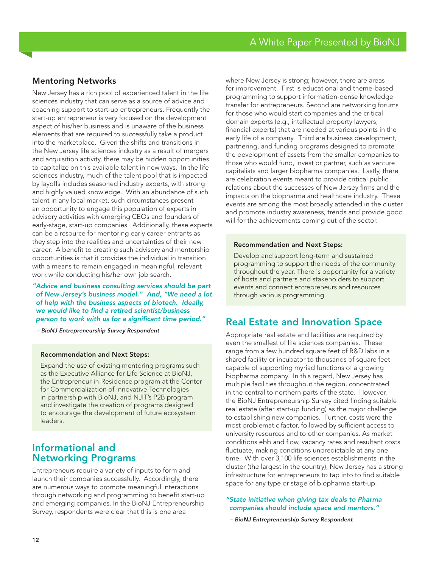## Mentoring Networks

New Jersey has a rich pool of experienced talent in the life sciences industry that can serve as a source of advice and coaching support to start-up entrepreneurs. Frequently the start-up entrepreneur is very focused on the development aspect of his/her business and is unaware of the business elements that are required to successfully take a product into the marketplace. Given the shifts and transitions in the New Jersey life sciences industry as a result of mergers and acquisition activity, there may be hidden opportunities to capitalize on this available talent in new ways. In the life sciences industry, much of the talent pool that is impacted by layoffs includes seasoned industry experts, with strong and highly valued knowledge. With an abundance of such talent in any local market, such circumstances present an opportunity to engage this population of experts in advisory activities with emerging CEOs and founders of early-stage, start-up companies. Additionally, these experts can be a resource for mentoring early career entrants as they step into the realities and uncertainties of their new career. A benefit to creating such advisory and mentorship opportunities is that it provides the individual in transition with a means to remain engaged in meaningful, relevant work while conducting his/her own job search.

*"Advice and business consulting services should be part of New Jersey's business model." And, "We need a lot of help with the business aspects of biotech. Ideally, we would like to find a retired scientist/business person to work with us for a significant time period."*

*– BioNJ Entrepreneurship Survey Respondent*

#### Recommendation and Next Steps:

Expand the use of existing mentoring programs such as the Executive Alliance for Life Science at BioNJ, the Entrepreneur-in-Residence program at the Center for Commercialization of Innovative Technologies in partnership with BioNJ, and NJIT's P2B program and investigate the creation of programs designed to encourage the development of future ecosystem leaders.

## Informational and Networking Programs

Entrepreneurs require a variety of inputs to form and launch their companies successfully. Accordingly, there are numerous ways to promote meaningful interactions through networking and programming to benefit start-up and emerging companies. In the BioNJ Entrepreneurship Survey, respondents were clear that this is one area

where New Jersey is strong; however, there are areas for improvement. First is educational and theme-based programming to support information-dense knowledge transfer for entrepreneurs. Second are networking forums for those who would start companies and the critical domain experts (e.g., intellectual property lawyers, financial experts) that are needed at various points in the early life of a company. Third are business development, partnering, and funding programs designed to promote the development of assets from the smaller companies to those who would fund, invest or partner, such as venture capitalists and larger biopharma companies. Lastly, there are celebration events meant to provide critical public relations about the successes of New Jersey firms and the impacts on the biopharma and healthcare industry. These events are among the most broadly attended in the cluster and promote industry awareness, trends and provide good will for the achievements coming out of the sector.

#### Recommendation and Next Steps:

Develop and support long-term and sustained programming to support the needs of the community throughout the year. There is opportunity for a variety of hosts and partners and stakeholders to support events and connect entrepreneurs and resources through various programming.

## Real Estate and Innovation Space

Appropriate real estate and facilities are required by even the smallest of life sciences companies. These range from a few hundred square feet of R&D labs in a shared facility or incubator to thousands of square feet capable of supporting myriad functions of a growing biopharma company. In this regard, New Jersey has multiple facilities throughout the region, concentrated in the central to northern parts of the state. However, the BioNJ Entrepreneurship Survey cited finding suitable real estate (after start-up funding) as the major challenge to establishing new companies. Further, costs were the most problematic factor, followed by sufficient access to university resources and to other companies. As market conditions ebb and flow, vacancy rates and resultant costs fluctuate, making conditions unpredictable at any one time. With over 3,100 life sciences establishments in the cluster (the largest in the country), New Jersey has a strong infrastructure for entrepreneurs to tap into to find suitable space for any type or stage of biopharma start-up.

#### *"State initiative when giving tax deals to Pharma companies should include space and mentors."*

*– BioNJ Entrepreneurship Survey Respondent*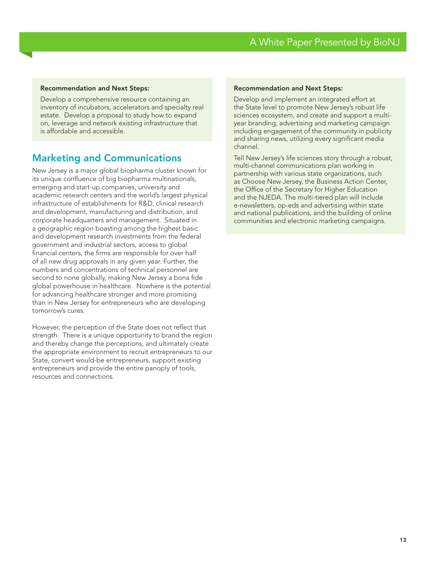#### Recommendation and Next Steps:

Develop a comprehensive resource containing an inventory of incubators, accelerators and specialty real estate. Develop a proposal to study how to expand on, leverage and network existing infrastructure that is affordable and accessible.

## Marketing and Communications

New Jersey is a major global biopharma cluster known for its unique confluence of big biopharma multinationals, emerging and start-up companies, university and academic research centers and the world's largest physical infrastructure of establishments for R&D, clinical research and development, manufacturing and distribution, and corporate headquarters and management. Situated in a geographic region boasting among the highest basic and development research investments from the federal government and industrial sectors, access to global financial centers, the firms are responsible for over half of all new drug approvals in any given year. Further, the numbers and concentrations of technical personnel are second to none globally, making New Jersey a bona fide global powerhouse in healthcare. Nowhere is the potential for advancing healthcare stronger and more promising than in New Jersey for entrepreneurs who are developing tomorrow's cures.

However, the perception of the State does not reflect that strength. There is a unique opportunity to brand the region and thereby change the perceptions, and ultimately create the appropriate environment to recruit entrepreneurs to our State, convert would-be entrepreneurs, support existing entrepreneurs and provide the entire panoply of tools, resources and connections.

#### Recommendation and Next Steps:

Develop and implement an integrated effort at the State level to promote New Jersey's robust life sciences ecosystem, and create and support a multiyear branding, advertising and marketing campaign including engagement of the community in publicity and sharing news, utilizing every significant media channel.

Tell New Jersey's life sciences story through a robust, multi-channel communications plan working in partnership with various state organizations, such as Choose New Jersey, the Business Action Center, the Office of the Secretary for Higher Education and the NJEDA. The multi-tiered plan will include e-newsletters, op-eds and advertising within state and national publications, and the building of online communities and electronic marketing campaigns.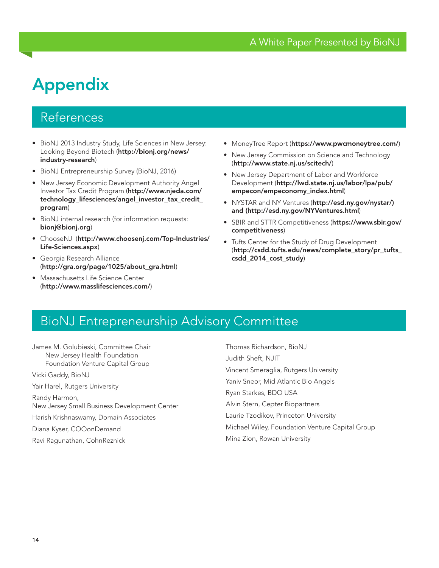# Appendix

## References

- BioNJ 2013 Industry Study, Life Sciences in New Jersey: Looking Beyond Biotech (http://bionj.org/news/ industry-research)
- BioNJ Entrepreneurship Survey (BioNJ, 2016)
- New Jersey Economic Development Authority Angel Investor Tax Credit Program (http://www.njeda.com/ technology\_lifesciences/angel\_investor\_tax\_credit\_ program)
- BioNJ internal research (for information requests: bionj@bionj.org)
- ChooseNJ (http://www.choosenj.com/Top-Industries/ Life-Sciences.aspx)
- Georgia Research Alliance (http://gra.org/page/1025/about\_gra.html)
- Massachusetts Life Science Center (http://www.masslifesciences.com/)
- MoneyTree Report (https://www.pwcmoneytree.com/)
- New Jersey Commission on Science and Technology (http://www.state.nj.us/scitech/)
- New Jersey Department of Labor and Workforce Development (http://lwd.state.nj.us/labor/lpa/pub/ empecon/empeconomy\_index.html)
- NYSTAR and NY Ventures (http://esd.ny.gov/nystar/) and (http://esd.ny.gov/NYVentures.html)
- SBIR and STTR Competitiveness (https://www.sbir.gov/ competitiveness)
- Tufts Center for the Study of Drug Development (http://csdd.tufts.edu/news/complete\_story/pr\_tufts\_ csdd\_2014\_cost\_study)

## BioNJ Entrepreneurship Advisory Committee

James M. Golubieski, Committee Chair New Jersey Health Foundation Foundation Venture Capital Group Vicki Gaddy, BioNJ

Yair Harel, Rutgers University Randy Harmon, New Jersey Small Business Development Center

Harish Krishnaswamy, Domain Associates

Diana Kyser, COOonDemand

Ravi Ragunathan, CohnReznick

Thomas Richardson, BioNJ Judith Sheft, NJIT Vincent Smeraglia, Rutgers University Yaniv Sneor, Mid Atlantic Bio Angels Ryan Starkes, BDO USA Alvin Stern, Cepter Biopartners Laurie Tzodikov, Princeton University Michael Wiley, Foundation Venture Capital Group Mina Zion, Rowan University